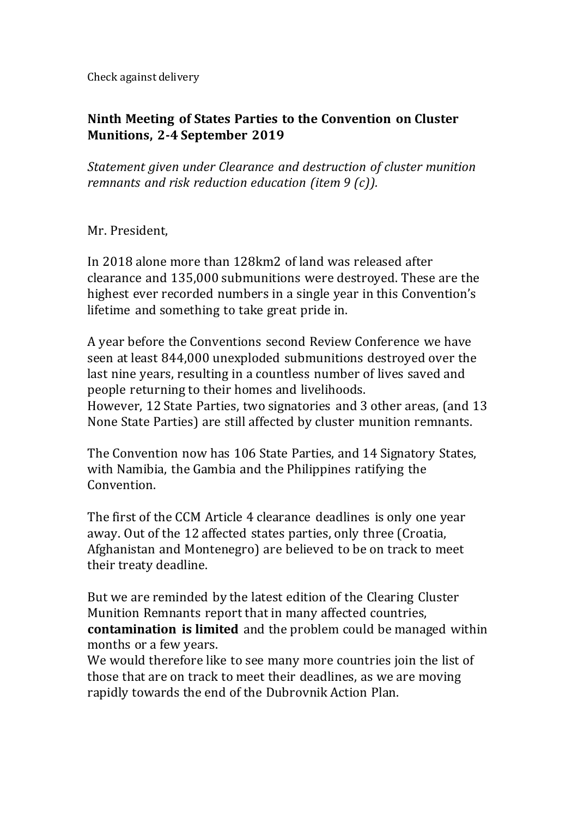Check against delivery

## **Ninth Meeting of States Parties to the Convention on Cluster Munitions, 2-4 September 2019**

*Statement given under Clearance and destruction of cluster munition remnants and risk reduction education (item 9 (c)).*

Mr. President,

In 2018 alone more than 128km2 of land was released after clearance and 135,000 submunitions were destroyed. These are the highest ever recorded numbers in a single year in this Convention's lifetime and something to take great pride in.

A year before the Conventions second Review Conference we have seen at least 844,000 unexploded submunitions destroyed over the last nine years, resulting in a countless number of lives saved and people returning to their homes and livelihoods.

However, 12 State Parties, two signatories and 3 other areas, (and 13 None State Parties) are still affected by cluster munition remnants.

The Convention now has 106 State Parties, and 14 Signatory States, with Namibia, the Gambia and the Philippines ratifying the Convention.

The first of the CCM Article 4 clearance deadlines is only one year away. Out of the 12 affected states parties, only three (Croatia, Afghanistan and Montenegro) are believed to be on track to meet their treaty deadline.

But we are reminded by the latest edition of the Clearing Cluster Munition Remnants report that in many affected countries, **contamination is limited** and the problem could be managed within months or a few years.

We would therefore like to see many more countries join the list of those that are on track to meet their deadlines, as we are moving rapidly towards the end of the [Dubrovnik](http://www.clusterconvention.org/wp-content/uploads/2016/09/Dubrovnik-Action-Plan.pdf) Action [Plan.](http://www.clusterconvention.org/wp-content/uploads/2016/09/Dubrovnik-Action-Plan.pdf)